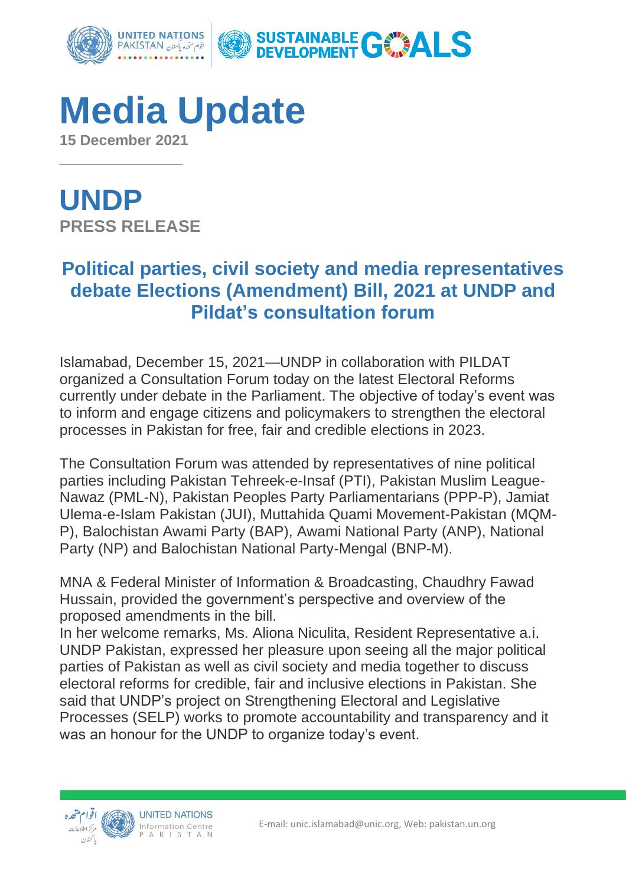

**Media Update 15 December 2021**

**UNDP PRESS RELEASE**

 $\overline{\phantom{a}}$  , where  $\overline{\phantom{a}}$ 

## **Political parties, civil society and media representatives debate Elections (Amendment) Bill, 2021 at UNDP and Pildat's consultation forum**

Islamabad, December 15, 2021—UNDP in collaboration with PILDAT organized a Consultation Forum today on the latest Electoral Reforms currently under debate in the Parliament. The objective of today's event was to inform and engage citizens and policymakers to strengthen the electoral processes in Pakistan for free, fair and credible elections in 2023.

The Consultation Forum was attended by representatives of nine political parties including Pakistan Tehreek-e-Insaf (PTI), Pakistan Muslim League-Nawaz (PML-N), Pakistan Peoples Party Parliamentarians (PPP-P), Jamiat Ulema-e-Islam Pakistan (JUI), Muttahida Quami Movement-Pakistan (MQM-P), Balochistan Awami Party (BAP), Awami National Party (ANP), National Party (NP) and Balochistan National Party-Mengal (BNP-M).

MNA & Federal Minister of Information & Broadcasting, Chaudhry Fawad Hussain, provided the government's perspective and overview of the proposed amendments in the bill.

In her welcome remarks, Ms. Aliona Niculita, Resident Representative a.i. UNDP Pakistan, expressed her pleasure upon seeing all the major political parties of Pakistan as well as civil society and media together to discuss electoral reforms for credible, fair and inclusive elections in Pakistan. She said that UNDP's project on Strengthening Electoral and Legislative Processes (SELP) works to promote accountability and transparency and it was an honour for the UNDP to organize today's event.